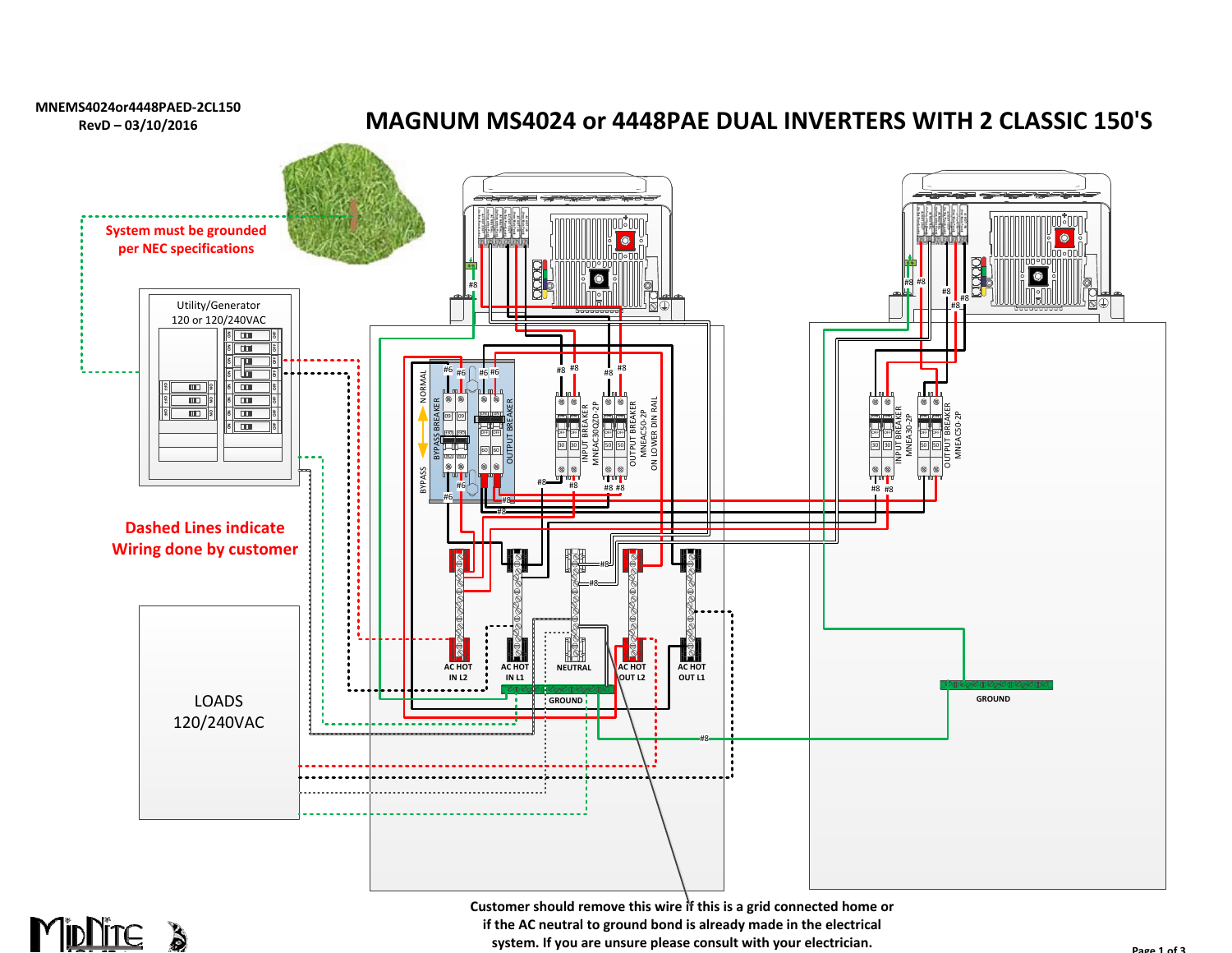



**Customer should remove this wire if this is a grid connected home or if the AC neutral to ground bond is already made in the electrical system. If you are unsure please consult with your electrician.**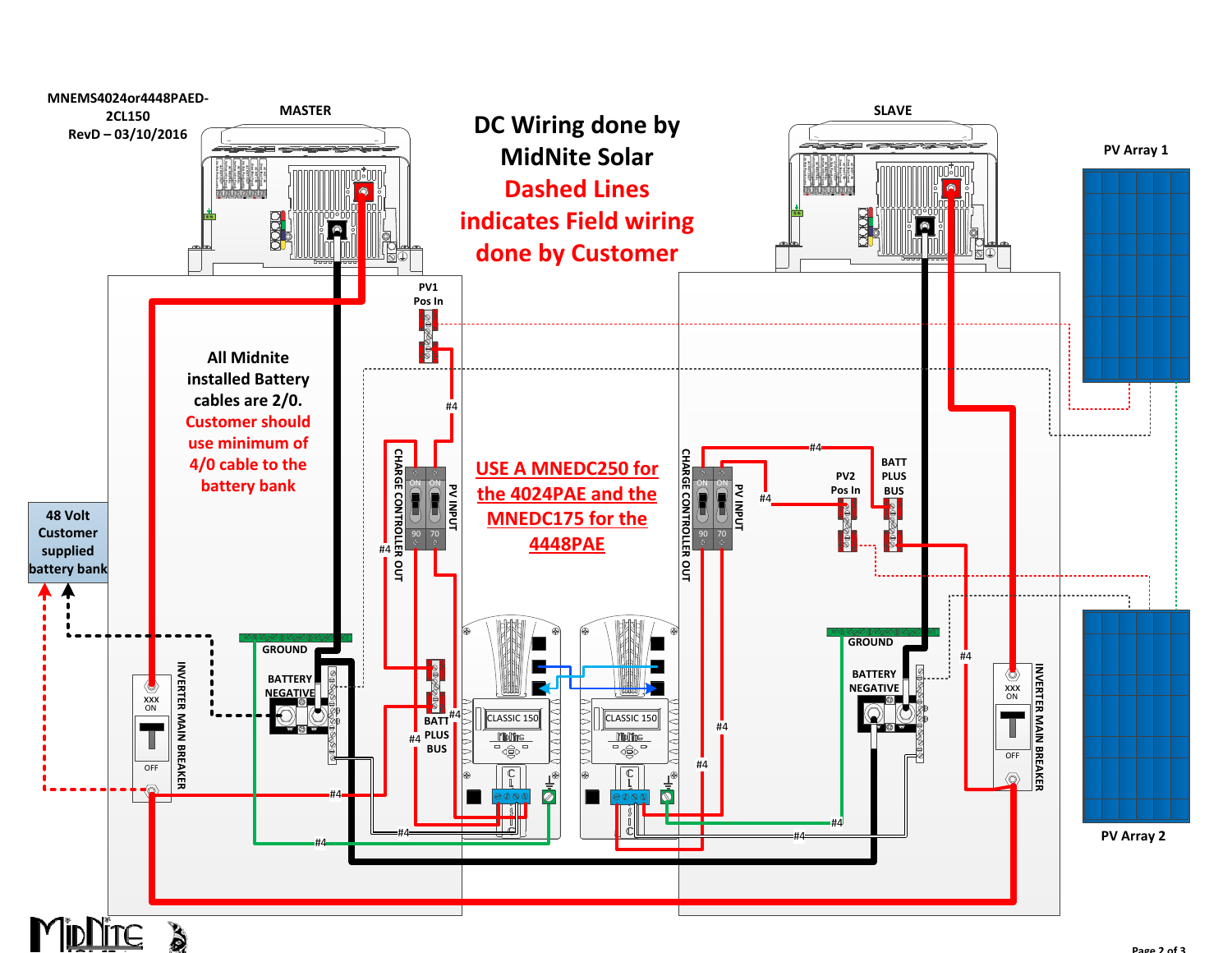